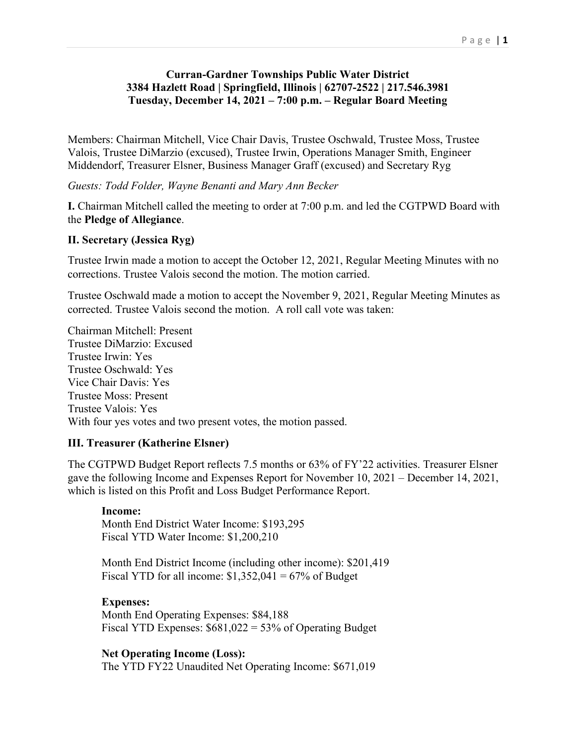# **Curran-Gardner Townships Public Water District 3384 Hazlett Road | Springfield, Illinois | 62707-2522 | 217.546.3981 Tuesday, December 14, 2021 – 7:00 p.m. – Regular Board Meeting**

Members: Chairman Mitchell, Vice Chair Davis, Trustee Oschwald, Trustee Moss, Trustee Valois, Trustee DiMarzio (excused), Trustee Irwin, Operations Manager Smith, Engineer Middendorf, Treasurer Elsner, Business Manager Graff (excused) and Secretary Ryg

*Guests: Todd Folder, Wayne Benanti and Mary Ann Becker*

**I.** Chairman Mitchell called the meeting to order at 7:00 p.m. and led the CGTPWD Board with the **Pledge of Allegiance**.

# **II. Secretary (Jessica Ryg)**

Trustee Irwin made a motion to accept the October 12, 2021, Regular Meeting Minutes with no corrections. Trustee Valois second the motion. The motion carried.

Trustee Oschwald made a motion to accept the November 9, 2021, Regular Meeting Minutes as corrected. Trustee Valois second the motion. A roll call vote was taken:

Chairman Mitchell: Present Trustee DiMarzio: Excused Trustee Irwin: Yes Trustee Oschwald: Yes Vice Chair Davis: Yes Trustee Moss: Present Trustee Valois: Yes With four yes votes and two present votes, the motion passed.

### **III. Treasurer (Katherine Elsner)**

The CGTPWD Budget Report reflects 7.5 months or 63% of FY'22 activities. Treasurer Elsner gave the following Income and Expenses Report for November 10, 2021 – December 14, 2021, which is listed on this Profit and Loss Budget Performance Report.

### **Income:**

Month End District Water Income: \$193,295 Fiscal YTD Water Income: \$1,200,210

Month End District Income (including other income): \$201,419 Fiscal YTD for all income:  $$1,352,041 = 67\%$  of Budget

# **Expenses:**

Month End Operating Expenses: \$84,188 Fiscal YTD Expenses: \$681,022 = 53% of Operating Budget

### **Net Operating Income (Loss):**

The YTD FY22 Unaudited Net Operating Income: \$671,019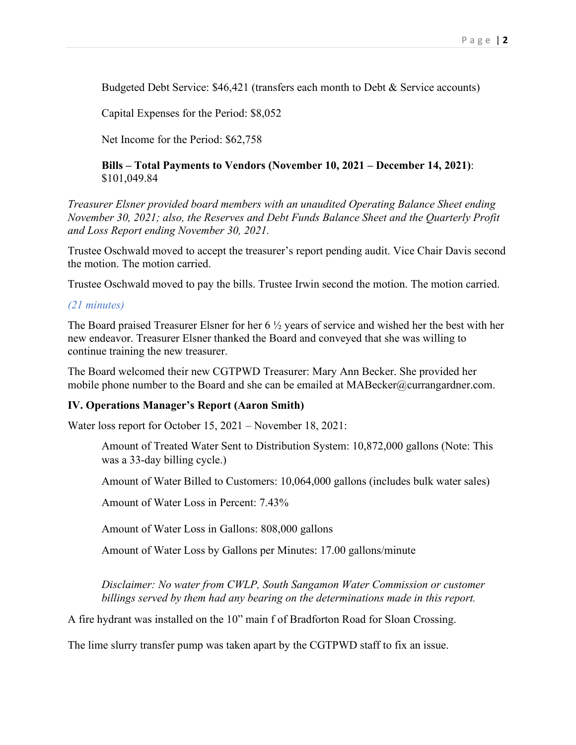Budgeted Debt Service: \$46,421 (transfers each month to Debt & Service accounts)

Capital Expenses for the Period: \$8,052

Net Income for the Period: \$62,758

**Bills – Total Payments to Vendors (November 10, 2021 – December 14, 2021)**: \$101,049.84

*Treasurer Elsner provided board members with an unaudited Operating Balance Sheet ending November 30, 2021; also, the Reserves and Debt Funds Balance Sheet and the Quarterly Profit and Loss Report ending November 30, 2021.*

Trustee Oschwald moved to accept the treasurer's report pending audit. Vice Chair Davis second the motion. The motion carried.

Trustee Oschwald moved to pay the bills. Trustee Irwin second the motion. The motion carried.

#### *(21 minutes)*

The Board praised Treasurer Elsner for her 6 ½ years of service and wished her the best with her new endeavor. Treasurer Elsner thanked the Board and conveyed that she was willing to continue training the new treasurer.

The Board welcomed their new CGTPWD Treasurer: Mary Ann Becker. She provided her mobile phone number to the Board and she can be emailed at MABecker@currangardner.com.

#### **IV. Operations Manager's Report (Aaron Smith)**

Water loss report for October 15, 2021 – November 18, 2021:

Amount of Treated Water Sent to Distribution System: 10,872,000 gallons (Note: This was a 33-day billing cycle.)

Amount of Water Billed to Customers: 10,064,000 gallons (includes bulk water sales)

Amount of Water Loss in Percent: 7.43%

Amount of Water Loss in Gallons: 808,000 gallons

Amount of Water Loss by Gallons per Minutes: 17.00 gallons/minute

*Disclaimer: No water from CWLP, South Sangamon Water Commission or customer billings served by them had any bearing on the determinations made in this report.*

A fire hydrant was installed on the 10" main f of Bradforton Road for Sloan Crossing.

The lime slurry transfer pump was taken apart by the CGTPWD staff to fix an issue.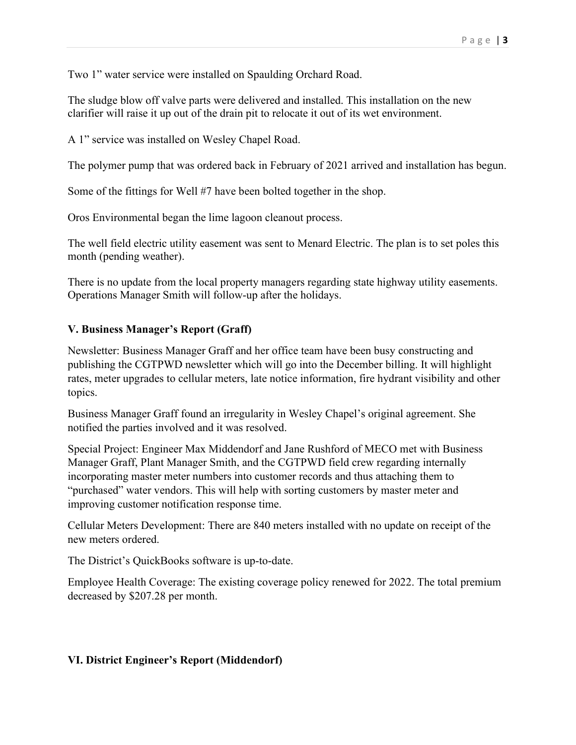Two 1" water service were installed on Spaulding Orchard Road.

The sludge blow off valve parts were delivered and installed. This installation on the new clarifier will raise it up out of the drain pit to relocate it out of its wet environment.

A 1" service was installed on Wesley Chapel Road.

The polymer pump that was ordered back in February of 2021 arrived and installation has begun.

Some of the fittings for Well #7 have been bolted together in the shop.

Oros Environmental began the lime lagoon cleanout process.

The well field electric utility easement was sent to Menard Electric. The plan is to set poles this month (pending weather).

There is no update from the local property managers regarding state highway utility easements. Operations Manager Smith will follow-up after the holidays.

# **V. Business Manager's Report (Graff)**

Newsletter: Business Manager Graff and her office team have been busy constructing and publishing the CGTPWD newsletter which will go into the December billing. It will highlight rates, meter upgrades to cellular meters, late notice information, fire hydrant visibility and other topics.

Business Manager Graff found an irregularity in Wesley Chapel's original agreement. She notified the parties involved and it was resolved.

Special Project: Engineer Max Middendorf and Jane Rushford of MECO met with Business Manager Graff, Plant Manager Smith, and the CGTPWD field crew regarding internally incorporating master meter numbers into customer records and thus attaching them to "purchased" water vendors. This will help with sorting customers by master meter and improving customer notification response time.

Cellular Meters Development: There are 840 meters installed with no update on receipt of the new meters ordered.

The District's QuickBooks software is up-to-date.

Employee Health Coverage: The existing coverage policy renewed for 2022. The total premium decreased by \$207.28 per month.

# **VI. District Engineer's Report (Middendorf)**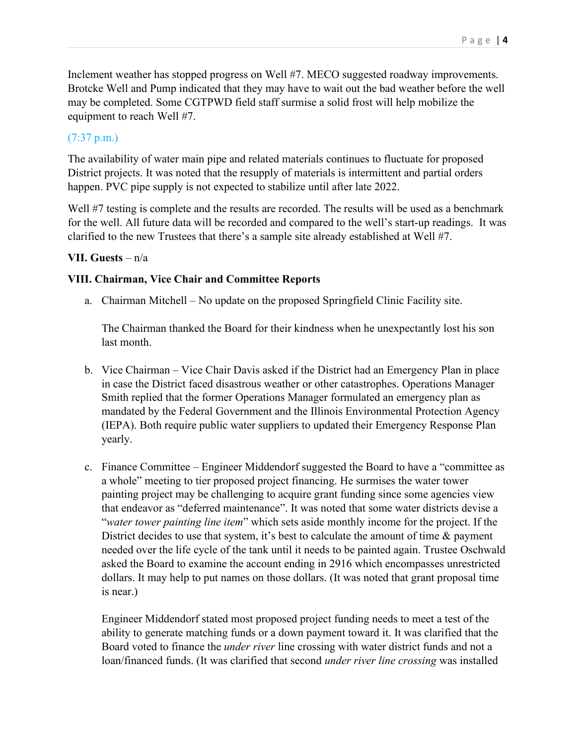Inclement weather has stopped progress on Well #7. MECO suggested roadway improvements. Brotcke Well and Pump indicated that they may have to wait out the bad weather before the well may be completed. Some CGTPWD field staff surmise a solid frost will help mobilize the equipment to reach Well #7.

## (7:37 p.m.)

The availability of water main pipe and related materials continues to fluctuate for proposed District projects. It was noted that the resupply of materials is intermittent and partial orders happen. PVC pipe supply is not expected to stabilize until after late 2022.

Well #7 testing is complete and the results are recorded. The results will be used as a benchmark for the well. All future data will be recorded and compared to the well's start-up readings. It was clarified to the new Trustees that there's a sample site already established at Well #7.

### **VII. Guests** – n/a

### **VIII. Chairman, Vice Chair and Committee Reports**

a. Chairman Mitchell – No update on the proposed Springfield Clinic Facility site.

The Chairman thanked the Board for their kindness when he unexpectantly lost his son last month.

- b. Vice Chairman Vice Chair Davis asked if the District had an Emergency Plan in place in case the District faced disastrous weather or other catastrophes. Operations Manager Smith replied that the former Operations Manager formulated an emergency plan as mandated by the Federal Government and the Illinois Environmental Protection Agency (IEPA). Both require public water suppliers to updated their Emergency Response Plan yearly.
- c. Finance Committee Engineer Middendorf suggested the Board to have a "committee as a whole" meeting to tier proposed project financing. He surmises the water tower painting project may be challenging to acquire grant funding since some agencies view that endeavor as "deferred maintenance". It was noted that some water districts devise a "*water tower painting line item*" which sets aside monthly income for the project. If the District decides to use that system, it's best to calculate the amount of time & payment needed over the life cycle of the tank until it needs to be painted again. Trustee Oschwald asked the Board to examine the account ending in 2916 which encompasses unrestricted dollars. It may help to put names on those dollars. (It was noted that grant proposal time is near.)

Engineer Middendorf stated most proposed project funding needs to meet a test of the ability to generate matching funds or a down payment toward it. It was clarified that the Board voted to finance the *under river* line crossing with water district funds and not a loan/financed funds. (It was clarified that second *under river line crossing* was installed